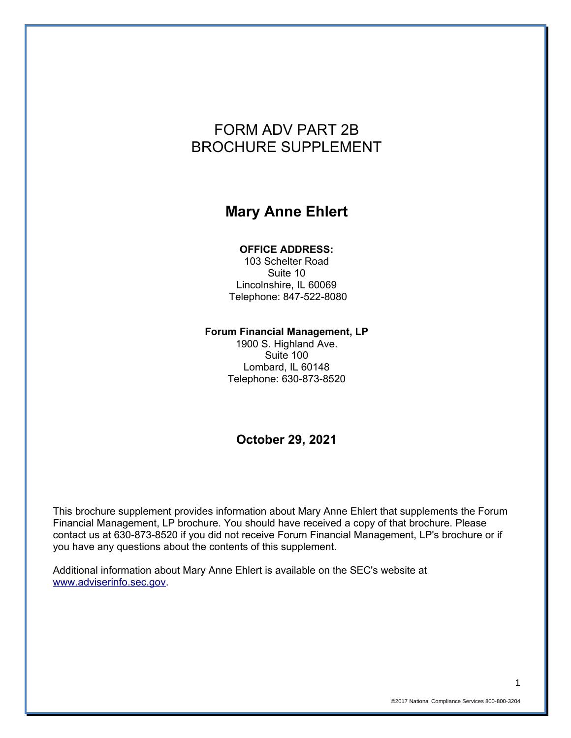# FORM ADV PART 2B BROCHURE SUPPLEMENT

# **Mary Anne Ehlert**

#### **OFFICE ADDRESS:**

103 Schelter Road Suite 10 Lincolnshire, IL 60069 Telephone: 847-522-8080

#### **Forum Financial Management, LP**

1900 S. Highland Ave. Suite 100 Lombard, IL 60148 Telephone: 630-873-8520

### **October 29, 2021**

This brochure supplement provides information about Mary Anne Ehlert that supplements the Forum Financial Management, LP brochure. You should have received a copy of that brochure. Please contact us at 630-873-8520 if you did not receive Forum Financial Management, LP's brochure or if you have any questions about the contents of this supplement.

Additional information about Mary Anne Ehlert is available on the SEC's website at [www.adviserinfo.sec.gov.](http://www.adviserinfo.sec.gov/)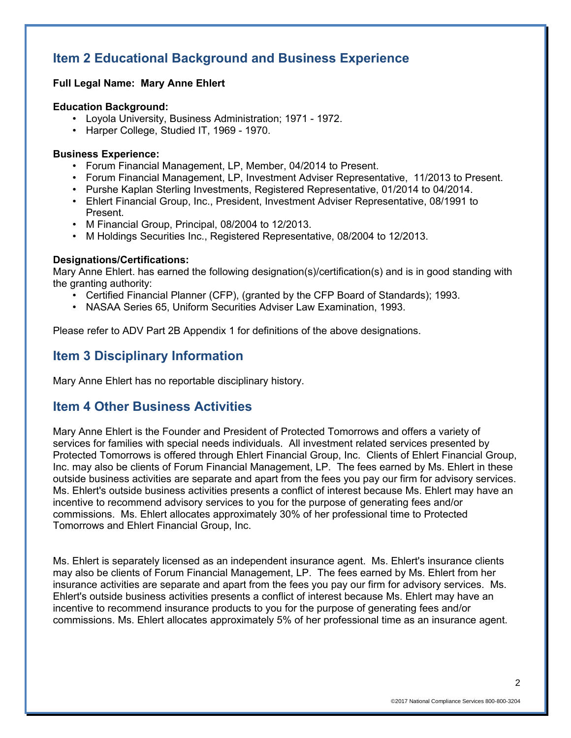## **Item 2 Educational Background and Business Experience**

#### **Full Legal Name: Mary Anne Ehlert**

#### **Education Background:**

- Loyola University, Business Administration; 1971 1972.
- Harper College, Studied IT, 1969 1970.

#### **Business Experience:**

- Forum Financial Management, LP, Member, 04/2014 to Present.
- Forum Financial Management, LP, Investment Adviser Representative, 11/2013 to Present.
- Purshe Kaplan Sterling Investments, Registered Representative, 01/2014 to 04/2014.
- Ehlert Financial Group, Inc., President, Investment Adviser Representative, 08/1991 to Present.
- M Financial Group, Principal, 08/2004 to 12/2013.
- M Holdings Securities Inc., Registered Representative, 08/2004 to 12/2013.

#### **Designations/Certifications:**

Mary Anne Ehlert. has earned the following designation(s)/certification(s) and is in good standing with the granting authority:

- Certified Financial Planner (CFP), (granted by the CFP Board of Standards); 1993.
- NASAA Series 65, Uniform Securities Adviser Law Examination, 1993.

Please refer to ADV Part 2B Appendix 1 for definitions of the above designations.

## **Item 3 Disciplinary Information**

Mary Anne Ehlert has no reportable disciplinary history.

### **Item 4 Other Business Activities**

Mary Anne Ehlert is the Founder and President of Protected Tomorrows and offers a variety of services for families with special needs individuals. All investment related services presented by Protected Tomorrows is offered through Ehlert Financial Group, Inc. Clients of Ehlert Financial Group, Inc. may also be clients of Forum Financial Management, LP. The fees earned by Ms. Ehlert in these outside business activities are separate and apart from the fees you pay our firm for advisory services. Ms. Ehlert's outside business activities presents a conflict of interest because Ms. Ehlert may have an incentive to recommend advisory services to you for the purpose of generating fees and/or commissions. Ms. Ehlert allocates approximately 30% of her professional time to Protected Tomorrows and Ehlert Financial Group, Inc.

Ms. Ehlert is separately licensed as an independent insurance agent. Ms. Ehlert's insurance clients may also be clients of Forum Financial Management, LP. The fees earned by Ms. Ehlert from her insurance activities are separate and apart from the fees you pay our firm for advisory services. Ms. Ehlert's outside business activities presents a conflict of interest because Ms. Ehlert may have an incentive to recommend insurance products to you for the purpose of generating fees and/or commissions. Ms. Ehlert allocates approximately 5% of her professional time as an insurance agent.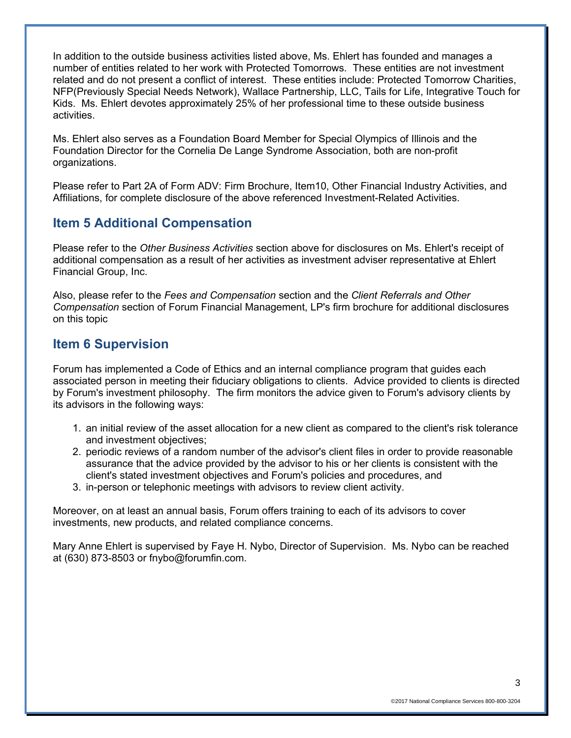In addition to the outside business activities listed above, Ms. Ehlert has founded and manages a number of entities related to her work with Protected Tomorrows. These entities are not investment related and do not present a conflict of interest. These entities include: Protected Tomorrow Charities, NFP(Previously Special Needs Network), Wallace Partnership, LLC, Tails for Life, Integrative Touch for Kids. Ms. Ehlert devotes approximately 25% of her professional time to these outside business activities.

Ms. Ehlert also serves as a Foundation Board Member for Special Olympics of Illinois and the Foundation Director for the Cornelia De Lange Syndrome Association, both are non-profit organizations.

Please refer to Part 2A of Form ADV: Firm Brochure, Item10, Other Financial Industry Activities, and Affiliations, for complete disclosure of the above referenced Investment-Related Activities.

## **Item 5 Additional Compensation**

Please refer to the *Other Business Activities* section above for disclosures on Ms. Ehlert's receipt of additional compensation as a result of her activities as investment adviser representative at Ehlert Financial Group, Inc.

Also, please refer to the *Fees and Compensation* section and the *Client Referrals and Other Compensation* section of Forum Financial Management, LP's firm brochure for additional disclosures on this topic

## **Item 6 Supervision**

Forum has implemented a Code of Ethics and an internal compliance program that guides each associated person in meeting their fiduciary obligations to clients. Advice provided to clients is directed by Forum's investment philosophy. The firm monitors the advice given to Forum's advisory clients by its advisors in the following ways:

- 1. an initial review of the asset allocation for a new client as compared to the client's risk tolerance and investment objectives;
- 2. periodic reviews of a random number of the advisor's client files in order to provide reasonable assurance that the advice provided by the advisor to his or her clients is consistent with the client's stated investment objectives and Forum's policies and procedures, and
- 3. in-person or telephonic meetings with advisors to review client activity.

Moreover, on at least an annual basis, Forum offers training to each of its advisors to cover investments, new products, and related compliance concerns.

Mary Anne Ehlert is supervised by Faye H. Nybo, Director of Supervision. Ms. Nybo can be reached at (630) 873-8503 or fnybo@forumfin.com.